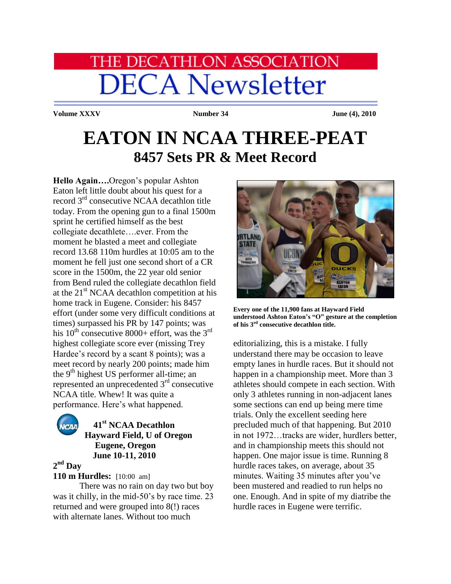# **HE DECATHLON ASSOCIATION DECA Newsletter**

**Volume XXXV Number 34 June (4), 2010** 

## **EATON IN NCAA THREE-PEAT 8457 Sets PR & Meet Record**

**Hello Again….**Oregon"s popular Ashton Eaton left little doubt about his quest for a record 3rd consecutive NCAA decathlon title today. From the opening gun to a final 1500m sprint he certified himself as the best collegiate decathlete….ever. From the moment he blasted a meet and collegiate record 13.68 110m hurdles at 10:05 am to the moment he fell just one second short of a CR score in the 1500m, the 22 year old senior from Bend ruled the collegiate decathlon field at the  $21<sup>st</sup> NCAA$  decathlon competition at his home track in Eugene. Consider: his 8457 effort (under some very difficult conditions at times) surpassed his PR by 147 points; was his  $10^{th}$  consecutive 8000+ effort, was the 3<sup>rd</sup> highest collegiate score ever (missing Trey Hardee's record by a scant 8 points); was a meet record by nearly 200 points; made him the 9<sup>th</sup> highest US performer all-time; an represented an unprecedented  $3<sup>rd</sup>$  consecutive NCAA title. Whew! It was quite a performance. Here's what happened.



## **41st NCAA Decathlon Hayward Field, U of Oregon Eugene, Oregon June 10-11, 2010**

**2 nd Day**

**110 m Hurdles:** [10:00 am]

There was no rain on day two but boy was it chilly, in the mid-50's by race time. 23 returned and were grouped into 8(!) races with alternate lanes. Without too much



**Every one of the 11,900 fans at Hayward Field understood Ashton Eaton's "O" gesture at the completion of his 3rd consecutive decathlon title.**

editorializing, this is a mistake. I fully understand there may be occasion to leave empty lanes in hurdle races. But it should not happen in a championship meet. More than 3 athletes should compete in each section. With only 3 athletes running in non-adjacent lanes some sections can end up being mere time trials. Only the excellent seeding here precluded much of that happening. But 2010 in not 1972…tracks are wider, hurdlers better, and in championship meets this should not happen. One major issue is time. Running 8 hurdle races takes, on average, about 35 minutes. Waiting 35 minutes after you've been mustered and readied to run helps no one. Enough. And in spite of my diatribe the hurdle races in Eugene were terrific.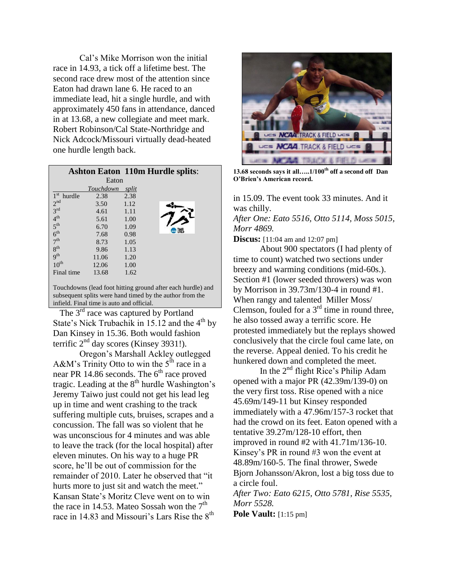Cal"s Mike Morrison won the initial race in 14.93, a tick off a lifetime best. The second race drew most of the attention since Eaton had drawn lane 6. He raced to an immediate lead, hit a single hurdle, and with approximately 450 fans in attendance, danced in at 13.68, a new collegiate and meet mark. Robert Robinson/Cal State-Northridge and Nick Adcock/Missouri virtually dead-heated one hurdle length back.

|                 |           | <b>Ashton Eaton 110m Hurdle splits:</b> |  |  |  |  |  |
|-----------------|-----------|-----------------------------------------|--|--|--|--|--|
| Eaton           |           |                                         |  |  |  |  |  |
|                 | Touchdown | split                                   |  |  |  |  |  |
| $1st$ hurdle    | 2.38      | 2.38                                    |  |  |  |  |  |
| 2 <sub>nd</sub> | 3.50      | 1.12                                    |  |  |  |  |  |
| 3 <sup>rd</sup> | 4.61      | 1.11                                    |  |  |  |  |  |
| 4 <sup>th</sup> | 5.61      | 1.00                                    |  |  |  |  |  |
| 5 <sup>th</sup> | 6.70      | 1.09<br><b>E TRACK</b>                  |  |  |  |  |  |
| 6 <sup>th</sup> | 7.68      | 0.98                                    |  |  |  |  |  |
| 7 <sup>th</sup> | 8.73      | 1.05                                    |  |  |  |  |  |
| 8 <sup>th</sup> | 9.86      | 1.13                                    |  |  |  |  |  |
| q <sup>th</sup> | 11.06     | 1.20                                    |  |  |  |  |  |
| $10^{th}$       | 12.06     | 1.00                                    |  |  |  |  |  |
| Final time      | 13.68     | 1.62                                    |  |  |  |  |  |
|                 |           |                                         |  |  |  |  |  |

Touchdowns (lead foot hitting ground after each hurdle) and subsequent splits were hand timed by the author from the infield. Final time is auto and official.

The 3<sup>rd</sup> race was captured by Portland State's Nick Trubachik in 15.12 and the  $4<sup>th</sup>$  by Dan Kinsey in 15.36. Both would fashion terrific  $2<sup>nd</sup>$  day scores (Kinsey 3931!).

Oregon"s Marshall Ackley outlegged A&M's Trinity Otto to win the  $5<sup>th</sup>$  race in a near PR 14.86 seconds. The  $6<sup>th</sup>$  race proved tragic. Leading at the  $8<sup>th</sup>$  hurdle Washington's Jeremy Taiwo just could not get his lead leg up in time and went crashing to the track suffering multiple cuts, bruises, scrapes and a concussion. The fall was so violent that he was unconscious for 4 minutes and was able to leave the track (for the local hospital) after eleven minutes. On his way to a huge PR score, he"ll be out of commission for the remainder of 2010. Later he observed that "it hurts more to just sit and watch the meet." Kansan State"s Moritz Cleve went on to win the race in 14.53. Mateo Sossah won the  $7<sup>th</sup>$ race in 14.83 and Missouri's Lars Rise the  $8<sup>th</sup>$ 



**13.68 seconds says it all…..1/100th off a second off Dan O'Brien's American record.**

in 15.09. The event took 33 minutes. And it was chilly. *After One: Eato 5516, Otto 5114, Moss 5015, Morr 4869.*

**Discus:** [11:04 am and 12:07 pm]

About 900 spectators (I had plenty of time to count) watched two sections under breezy and warming conditions (mid-60s.). Section #1 (lower seeded throwers) was won by Morrison in 39.73m/130-4 in round #1. When rangy and talented Miller Moss/ Clemson, fouled for a  $3<sup>rd</sup>$  time in round three, he also tossed away a terrific score. He protested immediately but the replays showed conclusively that the circle foul came late, on the reverse. Appeal denied. To his credit he hunkered down and completed the meet.

In the  $2<sup>nd</sup>$  flight Rice's Philip Adam opened with a major PR (42.39m/139-0) on the very first toss. Rise opened with a nice 45.69m/149-11 but Kinsey responded immediately with a 47.96m/157-3 rocket that had the crowd on its feet. Eaton opened with a tentative 39.27m/128-10 effort, then improved in round #2 with 41.71m/136-10. Kinsey"s PR in round #3 won the event at 48.89m/160-5. The final thrower, Swede Bjorn Johansson/Akron, lost a big toss due to a circle foul. *After Two: Eato 6215, Otto 5781, Rise 5535,* 

```
Morr 5528.
```
**Pole Vault:** [1:15 pm]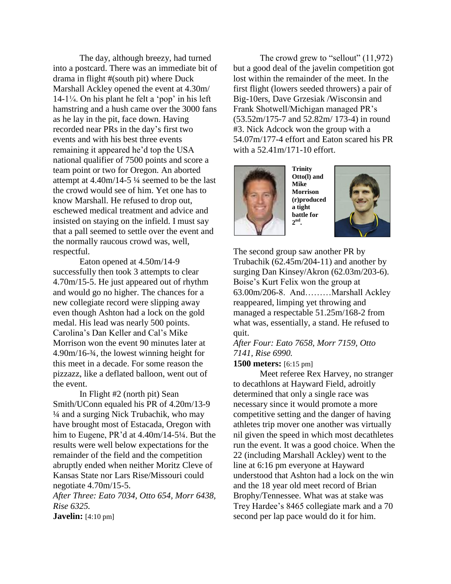The day, although breezy, had turned into a postcard. There was an immediate bit of drama in flight #(south pit) where Duck Marshall Ackley opened the event at 4.30m/  $14-1\frac{1}{4}$ . On his plant he felt a 'pop' in his left hamstring and a hush came over the 3000 fans as he lay in the pit, face down. Having recorded near PRs in the day"s first two events and with his best three events remaining it appeared he"d top the USA national qualifier of 7500 points and score a team point or two for Oregon. An aborted attempt at 4.40m/14-5 ¼ seemed to be the last the crowd would see of him. Yet one has to know Marshall. He refused to drop out, eschewed medical treatment and advice and insisted on staying on the infield. I must say that a pall seemed to settle over the event and the normally raucous crowd was, well, respectful.

Eaton opened at 4.50m/14-9 successfully then took 3 attempts to clear 4.70m/15-5. He just appeared out of rhythm and would go no higher. The chances for a new collegiate record were slipping away even though Ashton had a lock on the gold medal. His lead was nearly 500 points. Carolina"s Dan Keller and Cal"s Mike Morrison won the event 90 minutes later at 4.90m/16-¾, the lowest winning height for this meet in a decade. For some reason the pizzazz, like a deflated balloon, went out of the event.

In Flight #2 (north pit) Sean Smith/UConn equaled his PR of 4.20m/13-9 ¼ and a surging Nick Trubachik, who may have brought most of Estacada, Oregon with him to Eugene, PR'd at 4.40m/14-5¼. But the results were well below expectations for the remainder of the field and the competition abruptly ended when neither Moritz Cleve of Kansas State nor Lars Rise/Missouri could negotiate 4.70m/15-5.

*After Three: Eato 7034, Otto 654, Morr 6438, Rise 6325.*

**Javelin:** [4:10 pm]

The crowd grew to "sellout" (11,972) but a good deal of the javelin competition got lost within the remainder of the meet. In the first flight (lowers seeded throwers) a pair of Big-10ers, Dave Grzesiak /Wisconsin and Frank Shotwell/Michigan managed PR"s (53.52m/175-7 and 52.82m/ 173-4) in round #3. Nick Adcock won the group with a 54.07m/177-4 effort and Eaton scared his PR with a 52.41m/171-10 effort.



**Trinity Otto(l) and Mike Morrison (r)produced a tight battle for 2 nd .**



The second group saw another PR by Trubachik (62.45m/204-11) and another by surging Dan Kinsey/Akron (62.03m/203-6). Boise"s Kurt Felix won the group at 63.00m/206-8. And………Marshall Ackley reappeared, limping yet throwing and managed a respectable 51.25m/168-2 from what was, essentially, a stand. He refused to quit.

*After Four: Eato 7658, Morr 7159, Otto 7141, Rise 6990.*

**1500 meters:** [6:15 pm]

Meet referee Rex Harvey, no stranger to decathlons at Hayward Field, adroitly determined that only a single race was necessary since it would promote a more competitive setting and the danger of having athletes trip mover one another was virtually nil given the speed in which most decathletes run the event. It was a good choice. When the 22 (including Marshall Ackley) went to the line at 6:16 pm everyone at Hayward understood that Ashton had a lock on the win and the 18 year old meet record of Brian Brophy/Tennessee. What was at stake was Trey Hardee"s 8465 collegiate mark and a 70 second per lap pace would do it for him.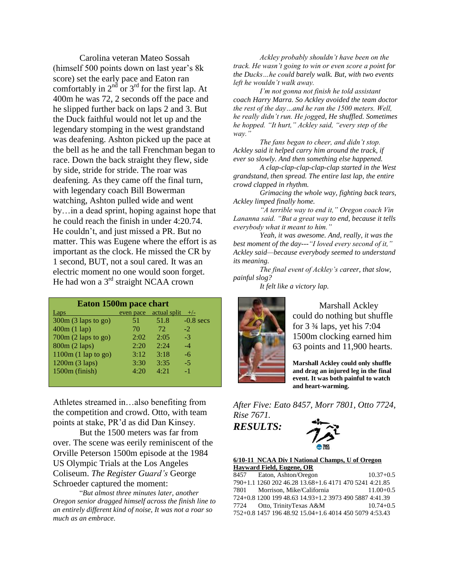Carolina veteran Mateo Sossah (himself 500 points down on last year's 8k score) set the early pace and Eaton ran comfortably in  $2<sup>nd</sup>$  or  $3<sup>rd</sup>$  for the first lap. At 400m he was 72, 2 seconds off the pace and he slipped further back on laps 2 and 3. But the Duck faithful would not let up and the legendary stomping in the west grandstand was deafening. Ashton picked up the pace at the bell as he and the tall Frenchman began to race. Down the back straight they flew, side by side, stride for stride. The roar was deafening. As they came off the final turn, with legendary coach Bill Bowerman watching, Ashton pulled wide and went by…in a dead sprint, hoping against hope that he could reach the finish in under 4:20.74. He couldn"t, and just missed a PR. But no matter. This was Eugene where the effort is as important as the clock. He missed the CR by 1 second, BUT, not a soul cared. It was an electric moment no one would soon forget. He had won a 3<sup>rd</sup> straight NCAA crown

| Eaton 1500m pace chart |           |              |             |  |  |  |
|------------------------|-----------|--------------|-------------|--|--|--|
| Laps                   | even pace | actual split | $+/-$       |  |  |  |
| 300m (3 laps to go)    | 51        | 51.8         | $-0.8$ secs |  |  |  |
| 400m(1 lap)            | 70        | 72           | $-2$        |  |  |  |
| $700m (2$ laps to go)  | 2:02      | 2:05         | $-3$        |  |  |  |
| 800m (2 laps)          | 2:20      | 2.24         | $-4$        |  |  |  |
| $1100m (1$ lap to go)  | 3:12      | 3:18         | -6          |  |  |  |
| 1200m (3 laps)         | 3:30      | 3:35         | $-5$        |  |  |  |
| 1500m (finish)         | 4:20      | 4:21         | $-1$        |  |  |  |
|                        |           |              |             |  |  |  |

Athletes streamed in…also benefiting from the competition and crowd. Otto, with team points at stake, PR"d as did Dan Kinsey.

But the 1500 meters was far from over. The scene was eerily reminiscent of the Orville Peterson 1500m episode at the 1984 US Olympic Trials at the Los Angeles Coliseum. *The Register Guard's* George Schroeder captured the moment:

 "*But almost three minutes later, another Oregon senior dragged himself across the finish line to an entirely different kind of noise, It was not a roar so much as an embrace.*

*Ackley probably shouldn't have been on the track. He wasn't going to win or even score a point for the Ducks…he could barely walk. But, with two events left he wouldn't walk away.*

*I'm not gonna not finish he told assistant coach Harry Marra. So Ackley avoided the team doctor the rest of the day…and he ran the 1500 meters. Well, he really didn't run. He jogged, He shuffled. Sometimes he hopped. "It hurt," Ackley said, "every step of the way."*

*The fans began to cheer, and didn't stop. Ackley said it helped carry him around the track, if ever so slowly. And then something else happened.*

*A clap-clap-clap-clap-clap started in the West grandstand, then spread. The entire last lap, the entire crowd clapped in rhythm.*

*Grimacing the whole way, fighting back tears, Ackley limped finally home.*

*"A terrible way to end it," Oregon coach Vin Lananna said. "But a great way to end, because it tells everybody what it meant to him."*

*Yeah, it was awesome. And, really, it was the best moment of the day---"I loved every second of it," Ackley said—because everybody seemed to understand its meaning.*

*The final event of Ackley's career, that slow, painful slog?*

*It felt like a victory lap.*



Marshall Ackley could do nothing but shuffle for 3 ¾ laps, yet his 7:04 1500m clocking earned him 63 points and 11,900 hearts.

**Marshall Ackley could only shuffle and drag an injured leg in the final event. It was both painful to watch and heart-warming.**

*After Five: Eato 8457, Morr 7801, Otto 7724, Rise 7671.*

*RESULTS:*



#### **6/10-11 NCAA Div I National Champs, U of Oregon Hayward Field, Eugene, OR**

| 8457   | Eaton, Ashton/Oregon                                   | $10.37 + 0.5$ |
|--------|--------------------------------------------------------|---------------|
|        | 790+1.1 1260 202 46.28 13.68+1.6 4171 470 5241 4:21.85 |               |
| 7801 — | Morrison, Mike/California                              | $11.00 + 0.5$ |
|        | 724+0.8 1200 199 48.63 14.93+1.2 3973 490 5887 4:41.39 |               |
|        | 7724 Otto, TrinityTexas A&M                            | $10.74 + 0.5$ |
|        | 752+0.8 1457 196 48.92 15.04+1.6 4014 450 5079 4:53.43 |               |